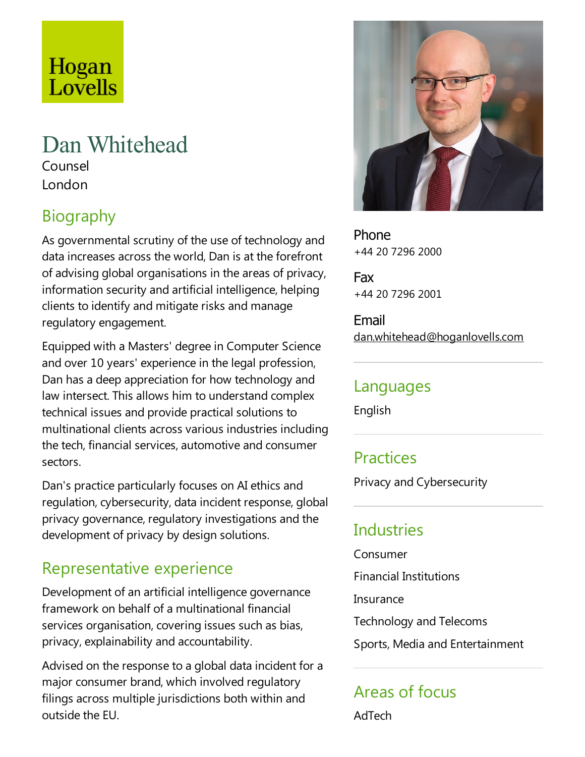# Hogan Lovells

# Dan Whitehead

Counsel London

## Biography

As governmental scrutiny of the use of technology and data increases across the world, Dan is at the forefront of advising global organisations in the areas of privacy, information security and artificial intelligence, helping clients to identify and mitigate risks and manage regulatory engagement.

Equipped with a Masters' degree in Computer Science and over 10 years' experience in the legal profession, Dan has a deep appreciation for how technology and law intersect.This allows him to understand complex technical issues and provide practical solutions to multinational clients across various industries including the tech, financial services, automotive and consumer sectors.

Dan's practice particularly focuses on AI ethics and regulation, cybersecurity, data incident response, global privacy governance, regulatory investigations and the development of privacy by design solutions.

### Representative experience

Development of an artificial intelligence governance framework on behalf of a multinational financial services organisation, covering issues such as bias, privacy, explainability and accountability.

Advised on the response to a global data incident for a major consumer brand, which involved regulatory filings across multiple jurisdictions both within and outside the FU.



Phone +44 20 7296 2000

Fax +44 20 7296 2001

Email dan.whitehead@hoganlovells.com

#### Languages

English

### **Practices**

Privacy and Cybersecurity

### Industries

Consumer

Financial Institutions

**Insurance** 

Technology and Telecoms

Sports, Media and Entertainment

# Areas of focus

AdTech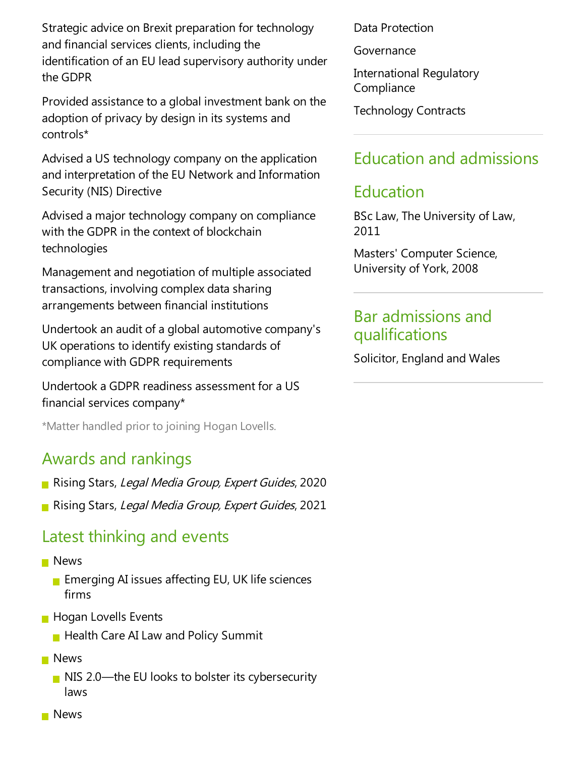Strategic advice on Brexit preparation for technology and financial services clients, including the identification of an EU lead supervisory authority under the GDPR

Provided assistance to a global investment bank on the adoption of privacy by design in its systems and controls\*

Advised a US technology company on the application and interpretation of the EU Network and Information Security (NIS) Directive

Advised a major technology company on compliance with the GDPR in the context of blockchain technologies

Management and negotiation of multiple associated transactions, involving complex datasharing arrangements between financial institutions

Undertook an audit of a global automotive company's UK operations to identify existing standards of compliance with GDPR requirements

Undertook a GDPR readiness assessment for a US financial services company\*

\*Matter handled prior to joining Hogan Lovells.

### Awards and rankings

- Rising Stars, Legal Media Group, Expert Guides, 2020
- Rising Stars, Legal Media Group, Expert Guides, 2021

### Latest thinking and events

#### **News**

- **Example 20** Emerging AI issues affecting EU, UK life sciences firms
- **Hogan Lovells Events** 
	- $\blacksquare$  Health Care AI Law and Policy Summit
- **News** 
	- $\blacksquare$  NIS 2.0—the EU looks to bolster its cybersecurity laws

Data Protection

Governance

International Regulatory **Compliance** 

Technology Contracts

### Education and admissions

### Education

BScLaw,The University of Law, 2011

Masters' Computer Science, University of York, 2008

### Bar admissions and qualifications

Solicitor, England and Wales

**News**